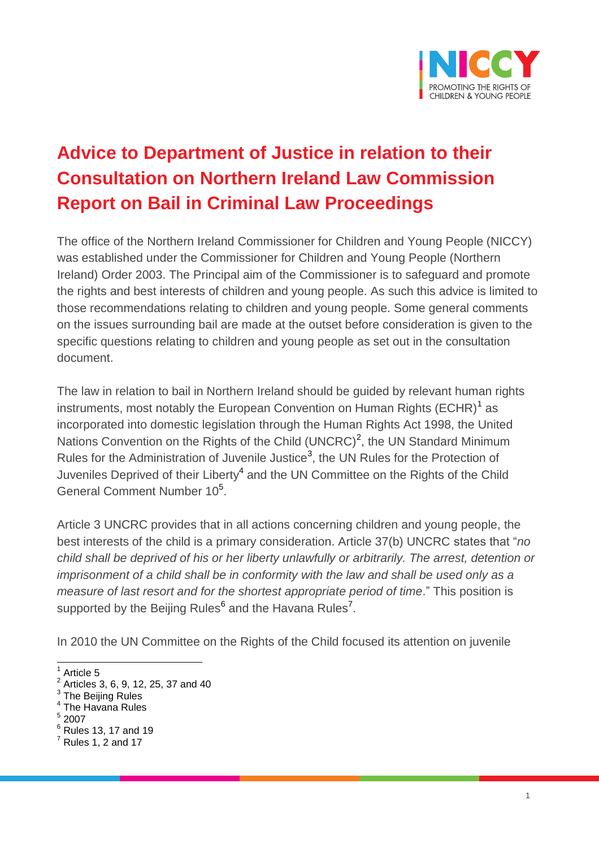

# **Advice to Department of Justice in relation to their Consultation on Northern Ireland Law Commission Report on Bail in Criminal Law Proceedings**

The office of the Northern Ireland Commissioner for Children and Young People (NICCY) was established under the Commissioner for Children and Young People (Northern Ireland) Order 2003. The Principal aim of the Commissioner is to safeguard and promote the rights and best interests of children and young people. As such this advice is limited to those recommendations relating to children and young people. Some general comments on the issues surrounding bail are made at the outset before consideration is given to the specific questions relating to children and young people as set out in the consultation document.

The law in relation to bail in Northern Ireland should be guided by relevant human rights instruments, most notably the European Convention on Human Rights  $(\mathsf{ECHR})^\mathsf{1}$  as incorporated into domestic legislation through the Human Rights Act 1998, the United Nations Convention on the Rights of the Child (UNCRC)<sup>2</sup>, the UN Standard Minimum Rules for the Administration of Juvenile Justice<sup>3</sup>, the UN Rules for the Protection of Juveniles Deprived of their Liberty<sup>4</sup> and the UN Committee on the Rights of the Child General Comment Number 10<sup>5</sup>.

Article 3 UNCRC provides that in all actions concerning children and young people, the best interests of the child is a primary consideration. Article 37(b) UNCRC states that "*no child shall be deprived of his or her liberty unlawfully or arbitrarily. The arrest, detention or imprisonment of a child shall be in conformity with the law and shall be used only as a measure of last resort and for the shortest appropriate period of time*." This position is supported by the Beijing Rules<sup>6</sup> and the Havana Rules<sup>7</sup>.

In 2010 the UN Committee on the Rights of the Child focused its attention on juvenile

 $\frac{5}{1}$  2007

<sup>&</sup>lt;sup>1</sup> Article 5 2

Articles 3, 6, 9, 12, 25, 37 and 40

 $^3$  The Beijing Rules<br> $^4$  The Havene Bule

The Havana Rules

 $6$  Rules 13, 17 and 19

<sup>7</sup> Rules 1, 2 and 17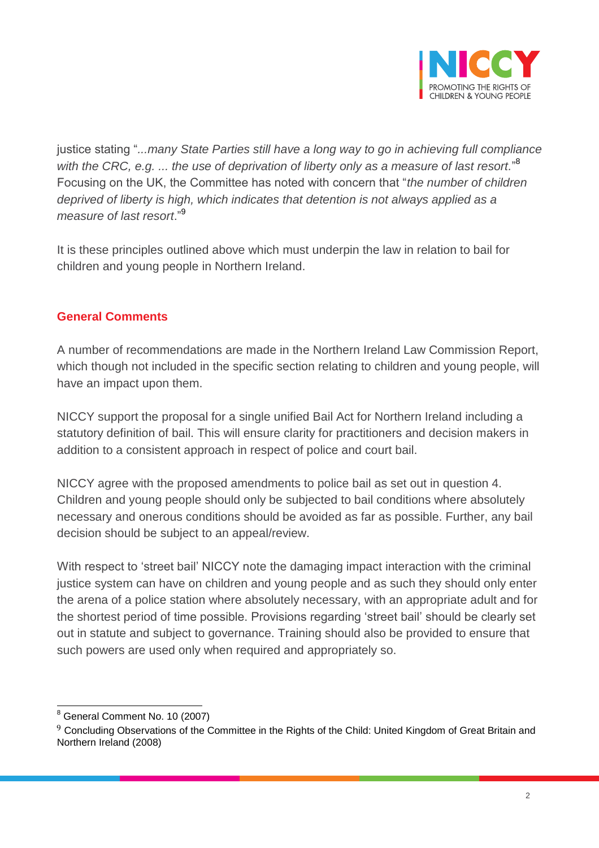

justice stating "*...many State Parties still have a long way to go in achieving full compliance with the CRC, e.g. ... the use of deprivation of liberty only as a measure of last resort.*" 8 Focusing on the UK, the Committee has noted with concern that "*the number of children deprived of liberty is high, which indicates that detention is not always applied as a measure of last resort*."<sup>9</sup>

It is these principles outlined above which must underpin the law in relation to bail for children and young people in Northern Ireland.

#### **General Comments**

A number of recommendations are made in the Northern Ireland Law Commission Report, which though not included in the specific section relating to children and young people, will have an impact upon them.

NICCY support the proposal for a single unified Bail Act for Northern Ireland including a statutory definition of bail. This will ensure clarity for practitioners and decision makers in addition to a consistent approach in respect of police and court bail.

NICCY agree with the proposed amendments to police bail as set out in question 4. Children and young people should only be subjected to bail conditions where absolutely necessary and onerous conditions should be avoided as far as possible. Further, any bail decision should be subject to an appeal/review.

With respect to 'street bail' NICCY note the damaging impact interaction with the criminal justice system can have on children and young people and as such they should only enter the arena of a police station where absolutely necessary, with an appropriate adult and for the shortest period of time possible. Provisions regarding 'street bail' should be clearly set out in statute and subject to governance. Training should also be provided to ensure that such powers are used only when required and appropriately so.

 $\overline{a}$ 

<sup>&</sup>lt;sup>8</sup> General Comment No. 10 (2007)

<sup>&</sup>lt;sup>9</sup> Concluding Observations of the Committee in the Rights of the Child: United Kingdom of Great Britain and Northern Ireland (2008)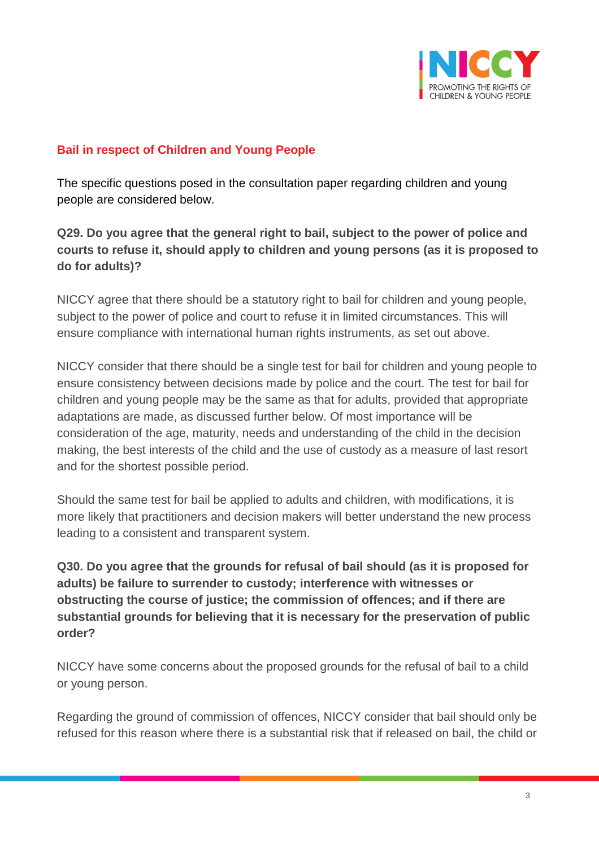

#### **Bail in respect of Children and Young People**

The specific questions posed in the consultation paper regarding children and young people are considered below.

**Q29. Do you agree that the general right to bail, subject to the power of police and courts to refuse it, should apply to children and young persons (as it is proposed to do for adults)?**

NICCY agree that there should be a statutory right to bail for children and young people, subject to the power of police and court to refuse it in limited circumstances. This will ensure compliance with international human rights instruments, as set out above.

NICCY consider that there should be a single test for bail for children and young people to ensure consistency between decisions made by police and the court. The test for bail for children and young people may be the same as that for adults, provided that appropriate adaptations are made, as discussed further below. Of most importance will be consideration of the age, maturity, needs and understanding of the child in the decision making, the best interests of the child and the use of custody as a measure of last resort and for the shortest possible period.

Should the same test for bail be applied to adults and children, with modifications, it is more likely that practitioners and decision makers will better understand the new process leading to a consistent and transparent system.

**Q30. Do you agree that the grounds for refusal of bail should (as it is proposed for adults) be failure to surrender to custody; interference with witnesses or obstructing the course of justice; the commission of offences; and if there are substantial grounds for believing that it is necessary for the preservation of public order?** 

NICCY have some concerns about the proposed grounds for the refusal of bail to a child or young person.

Regarding the ground of commission of offences, NICCY consider that bail should only be refused for this reason where there is a substantial risk that if released on bail, the child or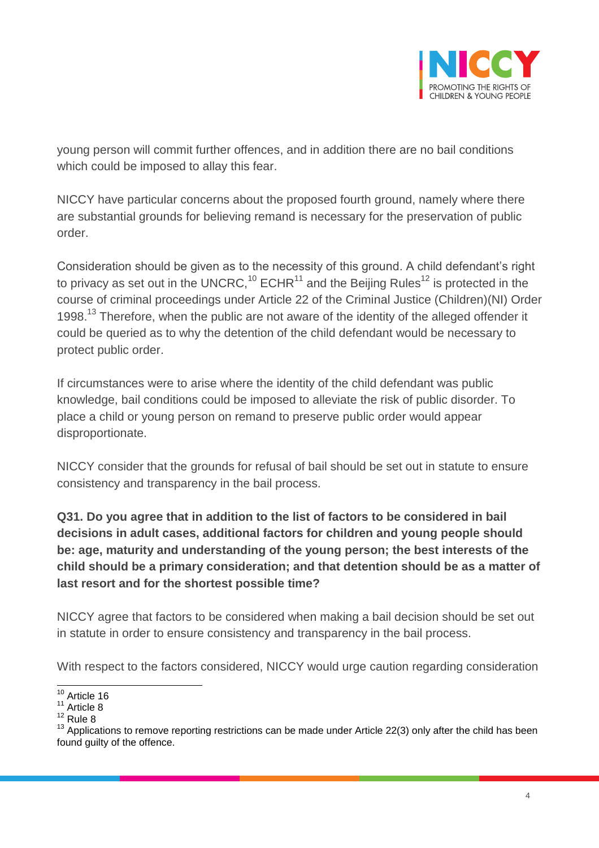

young person will commit further offences, and in addition there are no bail conditions which could be imposed to allay this fear.

NICCY have particular concerns about the proposed fourth ground, namely where there are substantial grounds for believing remand is necessary for the preservation of public order.

Consideration should be given as to the necessity of this ground. A child defendant's right to privacy as set out in the UNCRC,<sup>10</sup> ECHR<sup>11</sup> and the Beijing Rules<sup>12</sup> is protected in the course of criminal proceedings under Article 22 of the Criminal Justice (Children)(NI) Order 1998.<sup>13</sup> Therefore, when the public are not aware of the identity of the alleged offender it could be queried as to why the detention of the child defendant would be necessary to protect public order.

If circumstances were to arise where the identity of the child defendant was public knowledge, bail conditions could be imposed to alleviate the risk of public disorder. To place a child or young person on remand to preserve public order would appear disproportionate.

NICCY consider that the grounds for refusal of bail should be set out in statute to ensure consistency and transparency in the bail process.

**Q31. Do you agree that in addition to the list of factors to be considered in bail decisions in adult cases, additional factors for children and young people should be: age, maturity and understanding of the young person; the best interests of the child should be a primary consideration; and that detention should be as a matter of last resort and for the shortest possible time?** 

NICCY agree that factors to be considered when making a bail decision should be set out in statute in order to ensure consistency and transparency in the bail process.

With respect to the factors considered, NICCY would urge caution regarding consideration

 $\overline{\phantom{a}}$  $10$  Article 16

 $11$  Article 8

 $12$  Rule 8

 $13$  Applications to remove reporting restrictions can be made under Article 22(3) only after the child has been found guilty of the offence.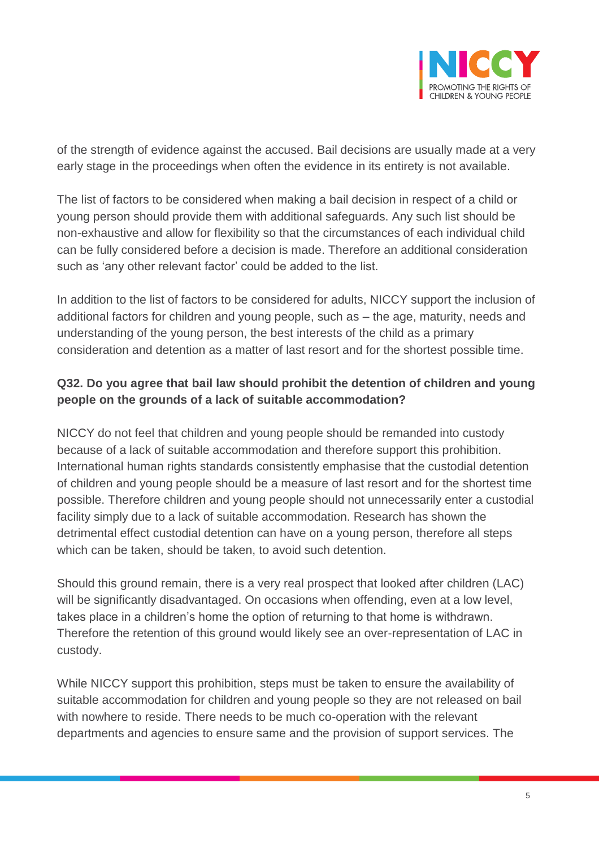

of the strength of evidence against the accused. Bail decisions are usually made at a very early stage in the proceedings when often the evidence in its entirety is not available.

The list of factors to be considered when making a bail decision in respect of a child or young person should provide them with additional safeguards. Any such list should be non-exhaustive and allow for flexibility so that the circumstances of each individual child can be fully considered before a decision is made. Therefore an additional consideration such as 'any other relevant factor' could be added to the list.

In addition to the list of factors to be considered for adults, NICCY support the inclusion of additional factors for children and young people, such as – the age, maturity, needs and understanding of the young person, the best interests of the child as a primary consideration and detention as a matter of last resort and for the shortest possible time.

## **Q32. Do you agree that bail law should prohibit the detention of children and young people on the grounds of a lack of suitable accommodation?**

NICCY do not feel that children and young people should be remanded into custody because of a lack of suitable accommodation and therefore support this prohibition. International human rights standards consistently emphasise that the custodial detention of children and young people should be a measure of last resort and for the shortest time possible. Therefore children and young people should not unnecessarily enter a custodial facility simply due to a lack of suitable accommodation. Research has shown the detrimental effect custodial detention can have on a young person, therefore all steps which can be taken, should be taken, to avoid such detention.

Should this ground remain, there is a very real prospect that looked after children (LAC) will be significantly disadvantaged. On occasions when offending, even at a low level, takes place in a children's home the option of returning to that home is withdrawn. Therefore the retention of this ground would likely see an over-representation of LAC in custody.

While NICCY support this prohibition, steps must be taken to ensure the availability of suitable accommodation for children and young people so they are not released on bail with nowhere to reside. There needs to be much co-operation with the relevant departments and agencies to ensure same and the provision of support services. The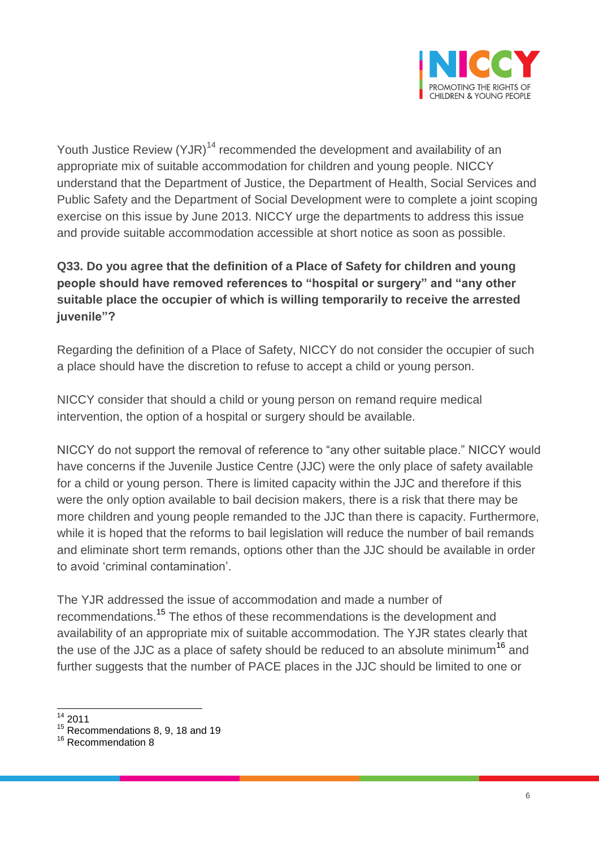

Youth Justice Review (YJR)<sup>14</sup> recommended the development and availability of an appropriate mix of suitable accommodation for children and young people. NICCY understand that the Department of Justice, the Department of Health, Social Services and Public Safety and the Department of Social Development were to complete a joint scoping exercise on this issue by June 2013. NICCY urge the departments to address this issue and provide suitable accommodation accessible at short notice as soon as possible.

# **Q33. Do you agree that the definition of a Place of Safety for children and young people should have removed references to "hospital or surgery" and "any other suitable place the occupier of which is willing temporarily to receive the arrested juvenile"?**

Regarding the definition of a Place of Safety, NICCY do not consider the occupier of such a place should have the discretion to refuse to accept a child or young person.

NICCY consider that should a child or young person on remand require medical intervention, the option of a hospital or surgery should be available.

NICCY do not support the removal of reference to "any other suitable place." NICCY would have concerns if the Juvenile Justice Centre (JJC) were the only place of safety available for a child or young person. There is limited capacity within the JJC and therefore if this were the only option available to bail decision makers, there is a risk that there may be more children and young people remanded to the JJC than there is capacity. Furthermore, while it is hoped that the reforms to bail legislation will reduce the number of bail remands and eliminate short term remands, options other than the JJC should be available in order to avoid 'criminal contamination'.

The YJR addressed the issue of accommodation and made a number of recommendations.<sup>15</sup> The ethos of these recommendations is the development and availability of an appropriate mix of suitable accommodation. The YJR states clearly that the use of the JJC as a place of safety should be reduced to an absolute minimum<sup>16</sup> and further suggests that the number of PACE places in the JJC should be limited to one or

 $\overline{a}$  $14$  2011

<sup>&</sup>lt;sup>15</sup> Recommendations 8, 9, 18 and 19

<sup>&</sup>lt;sup>16</sup> Recommendation 8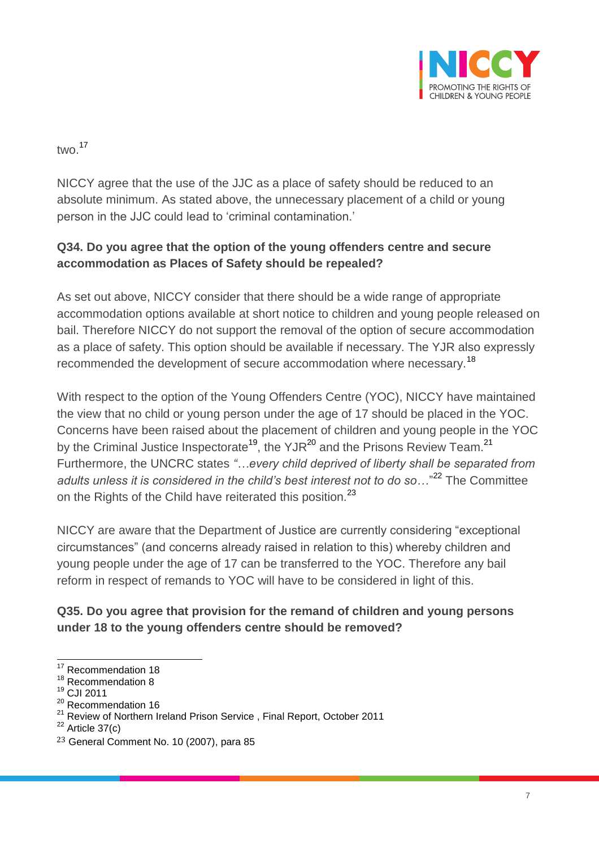

two.<sup>17</sup>

NICCY agree that the use of the JJC as a place of safety should be reduced to an absolute minimum. As stated above, the unnecessary placement of a child or young person in the JJC could lead to 'criminal contamination.'

## **Q34. Do you agree that the option of the young offenders centre and secure accommodation as Places of Safety should be repealed?**

As set out above, NICCY consider that there should be a wide range of appropriate accommodation options available at short notice to children and young people released on bail. Therefore NICCY do not support the removal of the option of secure accommodation as a place of safety. This option should be available if necessary. The YJR also expressly recommended the development of secure accommodation where necessary.<sup>18</sup>

With respect to the option of the Young Offenders Centre (YOC), NICCY have maintained the view that no child or young person under the age of 17 should be placed in the YOC. Concerns have been raised about the placement of children and young people in the YOC by the Criminal Justice Inspectorate<sup>19</sup>, the YJR<sup>20</sup> and the Prisons Review Team.<sup>21</sup> Furthermore, the UNCRC states *"…every child deprived of liberty shall be separated from*  adults unless it is considered in the child's best interest not to do so..."<sup>22</sup> The Committee on the Rights of the Child have reiterated this position.<sup>23</sup>

NICCY are aware that the Department of Justice are currently considering "exceptional circumstances" (and concerns already raised in relation to this) whereby children and young people under the age of 17 can be transferred to the YOC. Therefore any bail reform in respect of remands to YOC will have to be considered in light of this.

### **Q35. Do you agree that provision for the remand of children and young persons under 18 to the young offenders centre should be removed?**

 $\overline{\phantom{a}}$ <sup>17</sup> Recommendation 18

<sup>&</sup>lt;sup>18</sup> Recommendation 8

<sup>19</sup> CJI 2011

<sup>&</sup>lt;sup>20</sup> Recommendation 16

<sup>&</sup>lt;sup>21</sup> Review of Northern Ireland Prison Service, Final Report, October 2011

 $^{22}$  Article 37(c)

<sup>23</sup> General Comment No. 10 (2007), para 85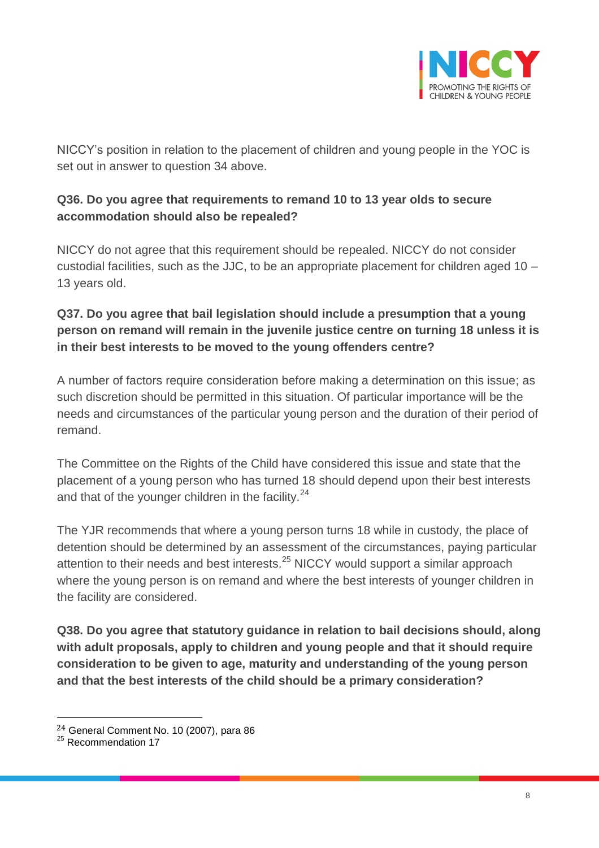

NICCY's position in relation to the placement of children and young people in the YOC is set out in answer to question 34 above.

### **Q36. Do you agree that requirements to remand 10 to 13 year olds to secure accommodation should also be repealed?**

NICCY do not agree that this requirement should be repealed. NICCY do not consider custodial facilities, such as the JJC, to be an appropriate placement for children aged 10 – 13 years old.

## **Q37. Do you agree that bail legislation should include a presumption that a young person on remand will remain in the juvenile justice centre on turning 18 unless it is in their best interests to be moved to the young offenders centre?**

A number of factors require consideration before making a determination on this issue; as such discretion should be permitted in this situation. Of particular importance will be the needs and circumstances of the particular young person and the duration of their period of remand.

The Committee on the Rights of the Child have considered this issue and state that the placement of a young person who has turned 18 should depend upon their best interests and that of the younger children in the facility.<sup>24</sup>

The YJR recommends that where a young person turns 18 while in custody, the place of detention should be determined by an assessment of the circumstances, paying particular attention to their needs and best interests.<sup>25</sup> NICCY would support a similar approach where the young person is on remand and where the best interests of younger children in the facility are considered.

**Q38. Do you agree that statutory guidance in relation to bail decisions should, along with adult proposals, apply to children and young people and that it should require consideration to be given to age, maturity and understanding of the young person and that the best interests of the child should be a primary consideration?** 

 $\overline{a}$ 

<sup>24</sup> General Comment No. 10 (2007), para 86

<sup>&</sup>lt;sup>25</sup> Recommendation 17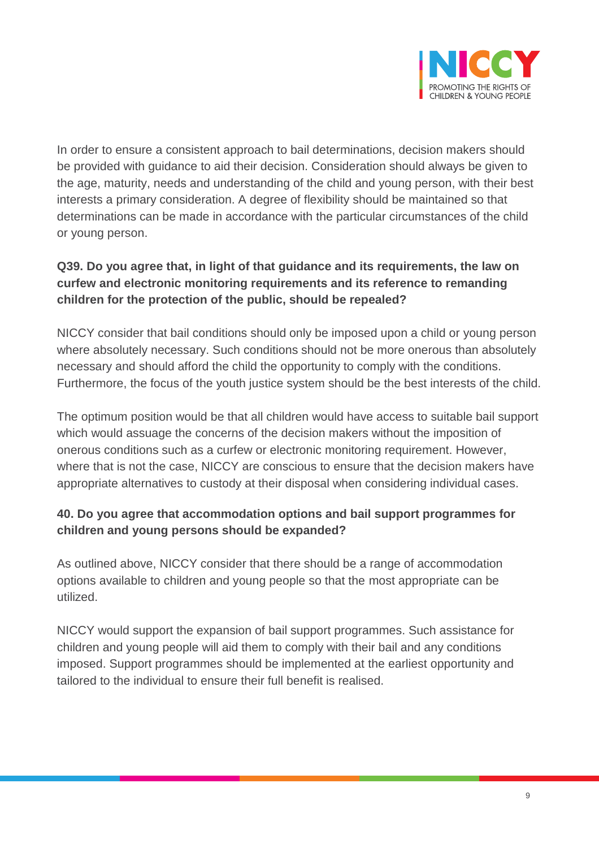

In order to ensure a consistent approach to bail determinations, decision makers should be provided with guidance to aid their decision. Consideration should always be given to the age, maturity, needs and understanding of the child and young person, with their best interests a primary consideration. A degree of flexibility should be maintained so that determinations can be made in accordance with the particular circumstances of the child or young person.

# **Q39. Do you agree that, in light of that guidance and its requirements, the law on curfew and electronic monitoring requirements and its reference to remanding children for the protection of the public, should be repealed?**

NICCY consider that bail conditions should only be imposed upon a child or young person where absolutely necessary. Such conditions should not be more onerous than absolutely necessary and should afford the child the opportunity to comply with the conditions. Furthermore, the focus of the youth justice system should be the best interests of the child.

The optimum position would be that all children would have access to suitable bail support which would assuage the concerns of the decision makers without the imposition of onerous conditions such as a curfew or electronic monitoring requirement. However, where that is not the case, NICCY are conscious to ensure that the decision makers have appropriate alternatives to custody at their disposal when considering individual cases.

### **40. Do you agree that accommodation options and bail support programmes for children and young persons should be expanded?**

As outlined above, NICCY consider that there should be a range of accommodation options available to children and young people so that the most appropriate can be utilized.

NICCY would support the expansion of bail support programmes. Such assistance for children and young people will aid them to comply with their bail and any conditions imposed. Support programmes should be implemented at the earliest opportunity and tailored to the individual to ensure their full benefit is realised.